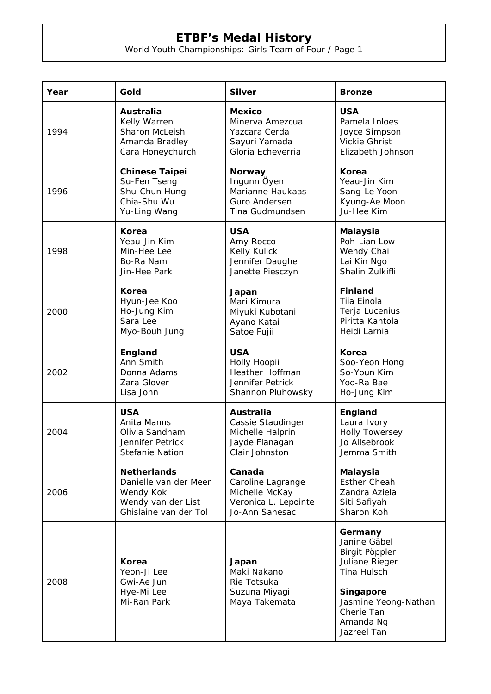| Year | Gold                                                            | <b>Silver</b>                                                         | <b>Bronze</b>                                                                      |
|------|-----------------------------------------------------------------|-----------------------------------------------------------------------|------------------------------------------------------------------------------------|
| 1994 | Australia                                                       | <b>Mexico</b>                                                         | <b>USA</b>                                                                         |
|      | Kelly Warren                                                    | Minerva Amezcua                                                       | Pamela Inloes                                                                      |
|      | Sharon McLeish                                                  | Yazcara Cerda                                                         | Joyce Simpson                                                                      |
|      | Amanda Bradley                                                  | Sayuri Yamada                                                         | <b>Vickie Ghrist</b>                                                               |
|      | Cara Honeychurch                                                | Gloria Echeverria                                                     | Elizabeth Johnson                                                                  |
| 1996 | <b>Chinese Taipei</b>                                           | <b>Norway</b>                                                         | Korea                                                                              |
|      | Su-Fen Tseng                                                    | Ingunn Öyen                                                           | Yeau-Jin Kim                                                                       |
|      | Shu-Chun Hung                                                   | Marianne Haukaas                                                      | Sang-Le Yoon                                                                       |
|      | Chia-Shu Wu                                                     | Guro Andersen                                                         | Kyung-Ae Moon                                                                      |
|      | Yu-Ling Wang                                                    | Tina Gudmundsen                                                       | Ju-Hee Kim                                                                         |
| 1998 | Korea                                                           | <b>USA</b>                                                            | Malaysia                                                                           |
|      | Yeau-Jin Kim                                                    | Amy Rocco                                                             | Poh-Lian Low                                                                       |
|      | Min-Hee Lee                                                     | Kelly Kulick                                                          | Wendy Chai                                                                         |
|      | Bo-Ra Nam                                                       | Jennifer Daughe                                                       | Lai Kin Ngo                                                                        |
|      | Jin-Hee Park                                                    | Janette Piesczyn                                                      | Shalin Zulkifli                                                                    |
| 2000 | Korea                                                           | Japan                                                                 | <b>Finland</b>                                                                     |
|      | Hyun-Jee Koo                                                    | Mari Kimura                                                           | Tiia Einola                                                                        |
|      | Ho-Jung Kim                                                     | Miyuki Kubotani                                                       | Terja Lucenius                                                                     |
|      | Sara Lee                                                        | Ayano Katai                                                           | Piritta Kantola                                                                    |
|      | Myo-Bouh Jung                                                   | Satoe Fujii                                                           | Heidi Larnia                                                                       |
| 2002 | England                                                         | <b>USA</b>                                                            | Korea                                                                              |
|      | Ann Smith                                                       | Holly Hoopii                                                          | Soo-Yeon Hong                                                                      |
|      | Donna Adams                                                     | Heather Hoffman                                                       | So-Youn Kim                                                                        |
|      | Zara Glover                                                     | Jennifer Petrick                                                      | Yoo-Ra Bae                                                                         |
|      | Lisa John                                                       | Shannon Pluhowsky                                                     | Ho-Jung Kim                                                                        |
| 2004 | <b>USA</b>                                                      | <b>Australia</b>                                                      | England                                                                            |
|      | Anita Manns                                                     | Cassie Staudinger                                                     | Laura Ivory                                                                        |
|      | Olivia Sandham                                                  | Michelle Halprin                                                      | <b>Holly Towersey</b>                                                              |
|      | Jennifer Petrick                                                | Jayde Flanagan                                                        | Jo Allsebrook                                                                      |
|      | <b>Stefanie Nation</b>                                          | Clair Johnston                                                        | Jemma Smith                                                                        |
| 2006 | <b>Netherlands</b>                                              | Canada                                                                | <b>Malaysia</b>                                                                    |
|      | Danielle van der Meer                                           | Caroline Lagrange                                                     | <b>Esther Cheah</b>                                                                |
|      | Wendy Kok                                                       | Michelle McKay                                                        | Zandra Aziela                                                                      |
|      | Wendy van der List                                              | Veronica L. Lepointe                                                  | Siti Safiyah                                                                       |
|      | Ghislaine van der Tol                                           | Jo-Ann Sanesac                                                        | Sharon Koh                                                                         |
| 2008 | Korea<br>Yeon-Ji Lee<br>Gwi-Ae Jun<br>Hye-Mi Lee<br>Mi-Ran Park | Japan<br>Maki Nakano<br>Rie Totsuka<br>Suzuna Miyagi<br>Maya Takemata | Germany<br>Janine Gäbel<br>Birgit Pöppler<br>Juliane Rieger<br>Tina Hulsch         |
|      |                                                                 |                                                                       | <b>Singapore</b><br>Jasmine Yeong-Nathan<br>Cherie Tan<br>Amanda Ng<br>Jazreel Tan |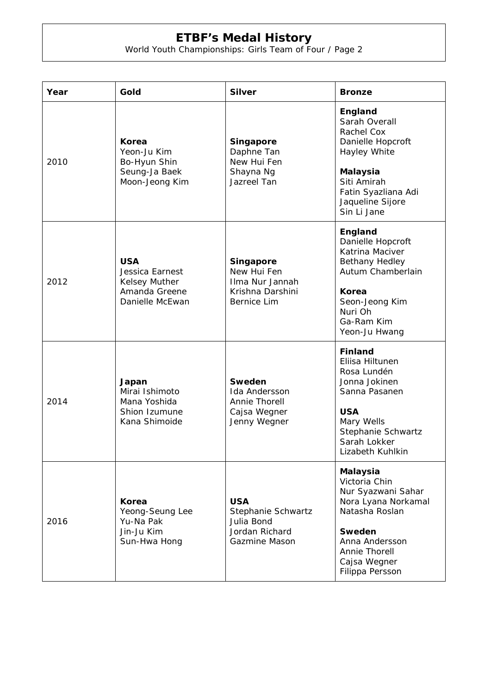| Year | Gold                                                                               | <b>Silver</b>                                                                            | <b>Bronze</b>                                                                                                                                                                   |
|------|------------------------------------------------------------------------------------|------------------------------------------------------------------------------------------|---------------------------------------------------------------------------------------------------------------------------------------------------------------------------------|
| 2010 | Korea<br>Yeon-Ju Kim<br>Bo-Hyun Shin<br>Seung-Ja Baek<br>Moon-Jeong Kim            | <b>Singapore</b><br>Daphne Tan<br>New Hui Fen<br>Shayna Ng<br>Jazreel Tan                | England<br>Sarah Overall<br>Rachel Cox<br>Danielle Hopcroft<br>Hayley White<br><b>Malaysia</b><br>Siti Amirah<br>Fatin Syazliana Adi<br>Jaqueline Sijore<br>Sin Li Jane         |
| 2012 | <b>USA</b><br>Jessica Earnest<br>Kelsey Muther<br>Amanda Greene<br>Danielle McEwan | <b>Singapore</b><br>New Hui Fen<br>Ilma Nur Jannah<br>Krishna Darshini<br>Bernice Lim    | England<br>Danielle Hopcroft<br>Katrina Maciver<br><b>Bethany Hedley</b><br>Autum Chamberlain<br>Korea<br>Seon-Jeong Kim<br>Nuri Oh<br>Ga-Ram Kim<br>Yeon-Ju Hwang              |
| 2014 | Japan<br>Mirai Ishimoto<br>Mana Yoshida<br>Shion Izumune<br>Kana Shimoide          | <b>Sweden</b><br>Ida Andersson<br>Annie Thorell<br>Cajsa Wegner<br>Jenny Wegner          | <b>Finland</b><br>Eliisa Hiltunen<br>Rosa Lundén<br>Jonna Jokinen<br>Sanna Pasanen<br><b>USA</b><br>Mary Wells<br>Stephanie Schwartz<br>Sarah Lokker<br>Lizabeth Kuhlkin        |
| 2016 | Korea<br>Yeong-Seung Lee<br>Yu-Na Pak<br>Jin-Ju Kim<br>Sun-Hwa Hong                | <b>USA</b><br>Stephanie Schwartz<br>Julia Bond<br>Jordan Richard<br><b>Gazmine Mason</b> | <b>Malaysia</b><br>Victoria Chin<br>Nur Syazwani Sahar<br>Nora Lyana Norkamal<br>Natasha Roslan<br>Sweden<br>Anna Andersson<br>Annie Thorell<br>Cajsa Wegner<br>Filippa Persson |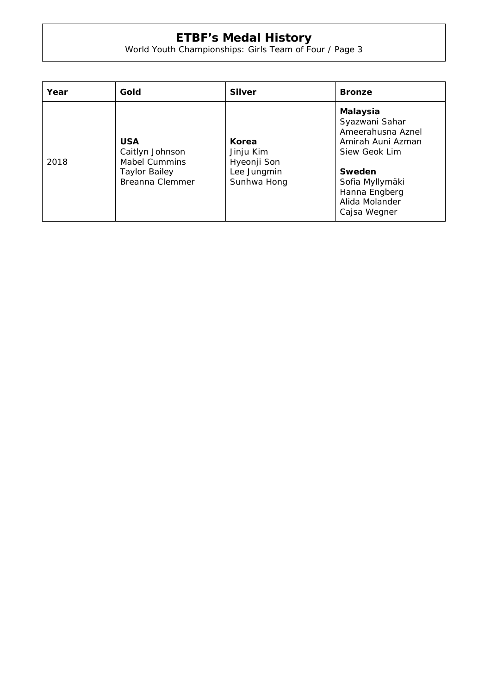| Year | Gold                                                                                             | <b>Silver</b>                                                   | <b>Bronze</b>                                                                                                                                                                |
|------|--------------------------------------------------------------------------------------------------|-----------------------------------------------------------------|------------------------------------------------------------------------------------------------------------------------------------------------------------------------------|
| 2018 | <b>USA</b><br>Caitlyn Johnson<br><b>Mabel Cummins</b><br><b>Taylor Bailey</b><br>Breanna Clemmer | Korea<br>Jinju Kim<br>Hyeonji Son<br>Lee Jungmin<br>Sunhwa Hong | <b>Malaysia</b><br>Syazwani Sahar<br>Ameerahusna Aznel<br>Amirah Auni Azman<br>Siew Geok Lim<br>Sweden<br>Sofia Myllymäki<br>Hanna Engberg<br>Alida Molander<br>Cajsa Wegner |